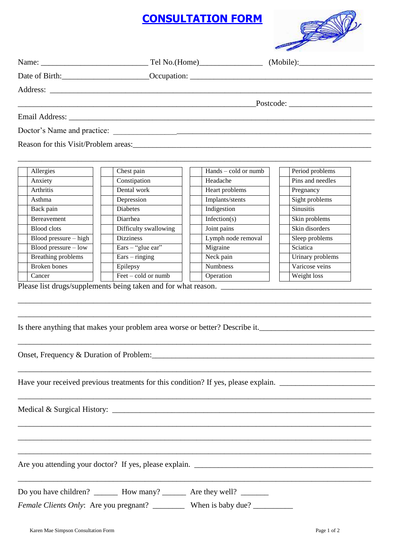## **CONSULTATION FORM**



|  | Date of Birth: Channel Cocupation: Communication Contract of Birth: |
|--|---------------------------------------------------------------------|

| Allergies               | Chest pain            | $Hands - cold or numb$ | Period problems  |
|-------------------------|-----------------------|------------------------|------------------|
| Anxiety                 | Constipation          | Headache               | Pins and needles |
| <b>Arthritis</b>        | Dental work           | Heart problems         | Pregnancy        |
| Asthma                  | Depression            | Implants/stents        | Sight problems   |
| Back pain               | <b>Diabetes</b>       | Indigestion            | <b>Sinusitis</b> |
| <b>Bereavement</b>      | Diarrhea              | Infection( $s$ )       | Skin problems    |
| Blood clots             | Difficulty swallowing | Joint pains            | Skin disorders   |
| $Blood pressure - high$ | <b>Dizziness</b>      | Lymph node removal     | Sleep problems   |
| Blood pressure $-$ low  | Ears $-$ "glue ear"   | Migraine               | Sciatica         |
| Breathing problems      | $Ears - ringing$      | Neck pain              | Urinary problems |
| Broken bones            | Epilepsy              | <b>Numbness</b>        | Varicose veins   |
| Cancer                  | $Feet - cold or numb$ | Operation              | Weight loss      |

\_\_\_\_\_\_\_\_\_\_\_\_\_\_\_\_\_\_\_\_\_\_\_\_\_\_\_\_\_\_\_\_\_\_\_\_\_\_\_\_\_\_\_\_\_\_\_\_\_\_\_\_\_\_\_\_\_\_\_\_\_\_\_\_\_\_\_\_\_\_\_\_\_\_\_\_\_\_\_\_\_\_\_\_\_\_\_\_\_

\_\_\_\_\_\_\_\_\_\_\_\_\_\_\_\_\_\_\_\_\_\_\_\_\_\_\_\_\_\_\_\_\_\_\_\_\_\_\_\_\_\_\_\_\_\_\_\_\_\_\_\_\_\_\_\_\_\_\_\_\_\_\_\_\_\_\_\_\_\_\_\_\_\_\_\_\_\_\_\_\_\_\_\_\_\_\_\_\_

\_\_\_\_\_\_\_\_\_\_\_\_\_\_\_\_\_\_\_\_\_\_\_\_\_\_\_\_\_\_\_\_\_\_\_\_\_\_\_\_\_\_\_\_\_\_\_\_\_\_\_\_\_\_\_\_\_\_\_\_\_\_\_\_\_\_\_\_\_\_\_\_\_\_\_\_\_\_\_\_\_\_\_\_\_\_\_\_\_

\_\_\_\_\_\_\_\_\_\_\_\_\_\_\_\_\_\_\_\_\_\_\_\_\_\_\_\_\_\_\_\_\_\_\_\_\_\_\_\_\_\_\_\_\_\_\_\_\_\_\_\_\_\_\_\_\_\_\_\_\_\_\_\_\_\_\_\_\_\_\_\_\_\_\_\_\_\_\_\_\_\_\_\_\_\_\_\_\_

\_\_\_\_\_\_\_\_\_\_\_\_\_\_\_\_\_\_\_\_\_\_\_\_\_\_\_\_\_\_\_\_\_\_\_\_\_\_\_\_\_\_\_\_\_\_\_\_\_\_\_\_\_\_\_\_\_\_\_\_\_\_\_\_\_\_\_\_\_\_\_\_\_\_\_\_\_\_\_\_\_\_\_\_\_\_\_\_\_

\_\_\_\_\_\_\_\_\_\_\_\_\_\_\_\_\_\_\_\_\_\_\_\_\_\_\_\_\_\_\_\_\_\_\_\_\_\_\_\_\_\_\_\_\_\_\_\_\_\_\_\_\_\_\_\_\_\_\_\_\_\_\_\_\_\_\_\_\_\_\_\_\_\_\_\_\_\_\_\_\_\_\_\_\_\_\_\_\_

\_\_\_\_\_\_\_\_\_\_\_\_\_\_\_\_\_\_\_\_\_\_\_\_\_\_\_\_\_\_\_\_\_\_\_\_\_\_\_\_\_\_\_\_\_\_\_\_\_\_\_\_\_\_\_\_\_\_\_\_\_\_\_\_\_\_\_\_\_\_\_\_\_\_\_\_\_\_\_\_\_\_\_\_\_\_\_\_\_

\_\_\_\_\_\_\_\_\_\_\_\_\_\_\_\_\_\_\_\_\_\_\_\_\_\_\_\_\_\_\_\_\_\_\_\_\_\_\_\_\_\_\_\_\_\_\_\_\_\_\_\_\_\_\_\_\_\_\_\_\_\_\_\_\_\_\_\_\_\_\_\_\_\_\_\_\_\_\_\_\_\_\_\_\_\_\_\_\_

Please list drugs/supplements being taken and for what reason. \_\_\_\_\_\_\_\_\_\_\_\_\_\_\_\_\_\_\_\_\_\_\_\_\_\_\_\_\_\_\_\_\_\_\_\_\_\_

Is there anything that makes your problem area worse or better? Describe it.\_\_\_\_\_\_\_\_\_\_\_\_\_\_\_\_\_\_\_\_\_\_\_\_\_\_\_\_\_\_\_\_\_\_

Onset, Frequency & Duration of Problem: 2003. And 2003. The summary of Problem:

Have your received previous treatments for this condition? If yes, please explain. \_\_\_\_\_\_\_\_\_\_\_\_\_\_\_\_\_\_\_\_\_\_\_\_\_\_\_

Medical & Surgical History: \_\_\_\_\_\_\_\_\_\_\_\_\_\_\_\_\_\_\_\_\_\_\_\_\_\_\_\_\_\_\_\_\_\_\_\_\_\_\_\_\_\_\_\_\_\_\_\_\_\_\_\_\_\_\_\_\_\_\_\_\_\_\_\_\_\_

Are you attending your doctor? If yes, please explain. \_\_\_\_\_\_\_\_\_\_\_\_\_\_\_\_\_\_\_\_\_\_\_\_\_\_\_\_\_\_\_\_\_\_\_\_\_\_\_\_\_\_\_\_\_

\_\_\_\_\_\_\_\_\_\_\_\_\_\_\_\_\_\_\_\_\_\_\_\_\_\_\_\_\_\_\_\_\_\_\_\_\_\_\_\_\_\_\_\_\_\_\_\_\_\_\_\_\_\_\_\_\_\_\_\_\_\_\_\_\_\_\_\_\_\_\_\_\_\_\_\_\_\_\_\_\_\_\_\_\_\_\_\_\_ Do you have children? \_\_\_\_\_\_\_\_ How many? \_\_\_\_\_\_\_\_ Are they well? \_\_\_\_\_\_\_\_ *Female Clients Only*: Are you pregnant? \_\_\_\_\_\_\_\_\_\_ When is baby due? \_\_\_\_\_\_\_\_\_\_\_